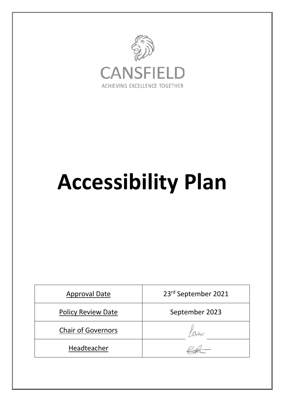

# **Accessibility Plan**

| <b>Approval Date</b>      | 23rd September 2021 |  |  |
|---------------------------|---------------------|--|--|
| <b>Policy Review Date</b> | September 2023      |  |  |
| <b>Chair of Governors</b> |                     |  |  |
| Headteacher               |                     |  |  |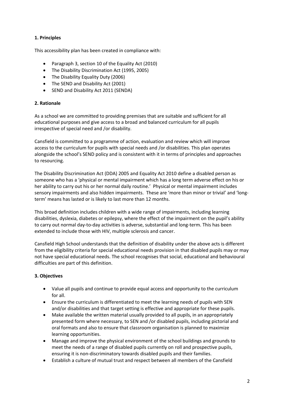# **1. Principles**

This accessibility plan has been created in compliance with:

- Paragraph 3, section 10 of the Equality Act (2010)
- The Disability Discrimination Act (1995, 2005)
- The Disability Equality Duty (2006)
- The SEND and Disability Act (2001)
- SEND and Disability Act 2011 (SENDA)

#### **2. Rationale**

As a school we are committed to providing premises that are suitable and sufficient for all educational purposes and give access to a broad and balanced curriculum for all pupils irrespective of special need and /or disability.

Cansfield is committed to a programme of action, evaluation and review which will improve access to the curriculum for pupils with special needs and /or disabilities. This plan operates alongside the school's SEND policy and is consistent with it in terms of principles and approaches to resourcing.

The Disability Discrimination Act (DDA) 2005 and Equality Act 2010 define a disabled person as someone who has a 'physical or mental impairment which has a long term adverse effect on his or her ability to carry out his or her normal daily routine.' Physical or mental impairment includes sensory impairments and also hidden impairments. These are 'more than minor or trivial' and 'longterm' means has lasted or is likely to last more than 12 months.

This broad definition includes children with a wide range of impairments, including learning disabilities, dyslexia, diabetes or epilepsy, where the effect of the impairment on the pupil's ability to carry out normal day-to-day activities is adverse, substantial and long-term. This has been extended to include those with HIV, multiple sclerosis and cancer.

Cansfield High School understands that the definition of disability under the above acts is different from the eligibility criteria for special educational needs provision in that disabled pupils may or may not have special educational needs. The school recognises that social, educational and behavioural difficulties are part of this definition.

## **3. Objectives**

- Value all pupils and continue to provide equal access and opportunity to the curriculum for all.
- Ensure the curriculum is differentiated to meet the learning needs of pupils with SEN and/or disabilities and that target setting is effective and appropriate for these pupils.
- Make available the written material usually provided to all pupils, in an appropriately presented form where necessary, to SEN and /or disabled pupils, including pictorial and oral formats and also to ensure that classroom organisation is planned to maximize learning opportunities.
- Manage and improve the physical environment of the school buildings and grounds to meet the needs of a range of disabled pupils currently on roll and prospective pupils, ensuring it is non-discriminatory towards disabled pupils and their families.
- Establish a culture of mutual trust and respect between all members of the Cansfield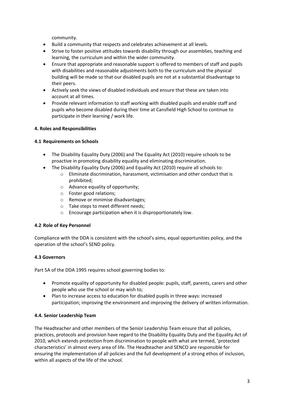community.

- Build a community that respects and celebrates achievement at all levels.
- Strive to foster positive attitudes towards disability through our assemblies, teaching and learning, the curriculum and within the wider community.
- Ensure that appropriate and reasonable support is offered to members of staff and pupils with disabilities and reasonable adjustments both to the curriculum and the physical building will be made so that our disabled pupils are not at a substantial disadvantage to their peers.
- Actively seek the views of disabled individuals and ensure that these are taken into account at all times.
- Provide relevant information to staff working with disabled pupils and enable staff and pupils who become disabled during their time at Cansfield High School to continue to participate in their learning / work life.

## **4. Roles and Responsibilities**

#### **4.1 Requirements on Schools**

- The Disability Equality Duty (2006) and The Equality Act (2010) require schools to be proactive in promoting disability equality and eliminating discrimination.
- The Disability Equality Duty (2006) and Equality Act (2010) require all schools to:
	- o Eliminate discrimination, harassment, victimisation and other conduct that is prohibited;
	- o Advance equality of opportunity;
	- o Foster good relations;
	- o Remove or minimise disadvantages;
	- o Take steps to meet different needs;
	- o Encourage participation when it is disproportionately low.

#### **4.2 Role of Key Personnel**

Compliance with the DDA is consistent with the school's aims, equal opportunities policy, and the operation of the school's SEND policy.

## **4.3 Governors**

Part 5A of the DDA 1995 requires school governing bodies to:

- Promote equality of opportunity for disabled people: pupils, staff, parents, carers and other people who use the school or may wish to;
- Plan to increase access to education for disabled pupils in three ways: increased participation; improving the environment and improving the delivery of written information.

## **4.4. Senior Leadership Team**

The Headteacher and other members of the Senior Leadership Team ensure that all policies, practices, protocols and provision have regard to the Disability Equality Duty and the Equality Act of 2010, which extends protection from discrimination to people with what are termed, 'protected characteristics' in almost every area of life. The Headteacher and SENCO are responsible for ensuring the implementation of all policies and the full development of a strong ethos of inclusion, within all aspects of the life of the school.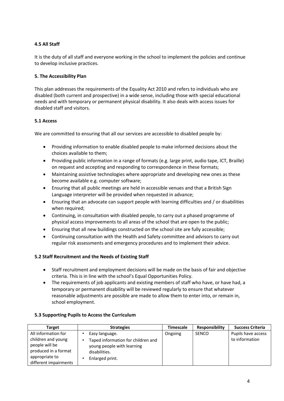# **4.5 All Staff**

It is the duty of all staff and everyone working in the school to implement the policies and continue to develop inclusive practices.

## **5. The Accessibility Plan**

This plan addresses the requirements of the Equality Act 2010 and refers to individuals who are disabled (both current and prospective) in a wide sense, including those with special educational needs and with temporary or permanent physical disability. It also deals with access issues for disabled staff and visitors.

## **5.1 Access**

We are committed to ensuring that all our services are accessible to disabled people by:

- Providing information to enable disabled people to make informed decisions about the choices available to them;
- Providing public information in a range of formats (e.g. large print, audio tape, ICT, Braille) on request and accepting and responding to correspondence in these formats;
- Maintaining assistive technologies where appropriate and developing new ones as these become available e.g. computer software;
- Ensuring that all public meetings are held in accessible venues and that a British Sign Language interpreter will be provided when requested in advance;
- Ensuring that an advocate can support people with learning difficulties and / or disabilities when required;
- Continuing, in consultation with disabled people, to carry out a phased programme of physical access improvements to all areas of the school that are open to the public;
- Ensuring that all new buildings constructed on the school site are fully accessible;
- Continuing consultation with the Health and Safety committee and advisors to carry out regular risk assessments and emergency procedures and to implement their advice.

## **5.2 Staff Recruitment and the Needs of Existing Staff**

- Staff recruitment and employment decisions will be made on the basis of fair and objective criteria. This is in line with the school's Equal Opportunities Policy.
- The requirements of job applicants and existing members of staff who have, or have had, a temporary or permanent disability will be reviewed regularly to ensure that whatever reasonable adjustments are possible are made to allow them to enter into, or remain in, school employment.

| <b>Target</b>                                                                                                                  | <b>Strategies</b>                                                                                                      | <b>Timescale</b> | <b>Responsibility</b> | <b>Success Criteria</b>              |
|--------------------------------------------------------------------------------------------------------------------------------|------------------------------------------------------------------------------------------------------------------------|------------------|-----------------------|--------------------------------------|
| All information for<br>children and young<br>people will be<br>produced in a format<br>appropriate to<br>different impairments | Easy language.<br>Taped information for children and<br>young people with learning<br>disabilities.<br>Enlarged print. | Ongoing          | SENCO                 | Pupils have access<br>to information |

#### **5.3 Supporting Pupils to Access the Curriculum**